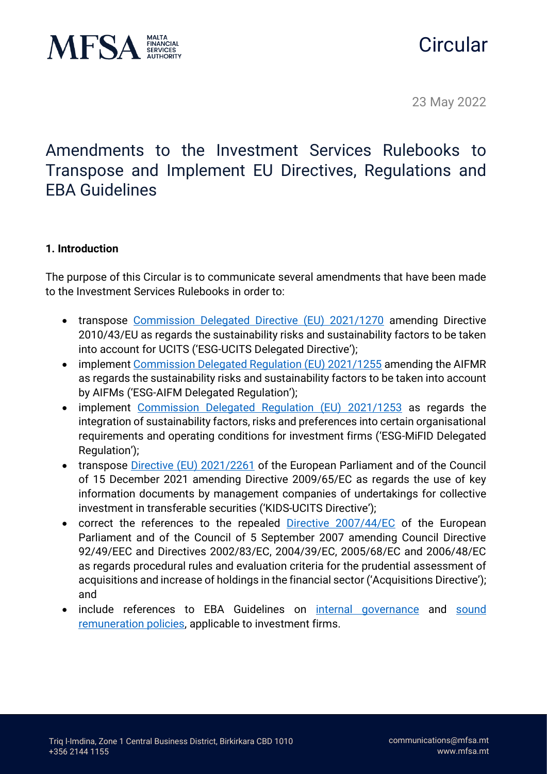

# **Circular**

23 May 2022

Amendments to the Investment Services Rulebooks to Transpose and Implement EU Directives, Regulations and EBA Guidelines

### **1. Introduction**

The purpose of this Circular is to communicate several amendments that have been made to the Investment Services Rulebooks in order to:

- transpose [Commission Delegated Directive \(EU\) 2021/1270](https://eur-lex.europa.eu/legal-content/EN/TXT/PDF/?uri=CELEX:32021L1270&from=EN) amending Directive 2010/43/EU as regards the sustainability risks and sustainability factors to be taken into account for UCITS ('ESG-UCITS Delegated Directive');
- implement [Commission Delegated Regulation \(EU\) 2021/1255](https://eur-lex.europa.eu/legal-content/EN/TXT/?uri=CELEX%3A32021R1255) amending the AIFMR as regards the sustainability risks and sustainability factors to be taken into account by AIFMs ('ESG-AIFM Delegated Regulation');
- implement [Commission Delegated Regulation \(EU\) 2021/1253](https://eur-lex.europa.eu/legal-content/EN/TXT/PDF/?uri=CELEX:32021R1253&from=EN) as regards the integration of sustainability factors, risks and preferences into certain organisational requirements and operating conditions for investment firms ('ESG-MiFID Delegated Regulation');
- transpose [Directive \(EU\) 2021/2261](https://eur-lex.europa.eu/legal-content/EN/TXT/PDF/?uri=CELEX:32021L2261&from=EN) of the European Parliament and of the Council of 15 December 2021 amending Directive 2009/65/EC as regards the use of key information documents by management companies of undertakings for collective investment in transferable securities ('KIDS-UCITS Directive');
- correct the references to the repealed [Directive 2007/44/EC](https://eur-lex.europa.eu/legal-content/EN/TXT/PDF/?uri=CELEX:32007L0044&from=EN) of the European Parliament and of the Council of 5 September 2007 amending Council Directive 92/49/EEC and Directives 2002/83/EC, 2004/39/EC, 2005/68/EC and 2006/48/EC as regards procedural rules and evaluation criteria for the prudential assessment of acquisitions and increase of holdings in the financial sector ('Acquisitions Directive'); and
- include references to EBA Guidelines on [internal governance](https://www.eba.europa.eu/sites/default/documents/files/document_library/Publications/Guidelines/2021/EBA-GL-2021-14%20Guidelines%20on%20internal%20governance%20under%20IFD/1024534/Final%20Report%20on%20GL%20on%20internal%20governance%20under%20IFD.pdf?retry=1) and [sound](https://www.eba.europa.eu/sites/default/documents/files/document_library/Publications/Guidelines/2021/EBA-GL-2021-13%20Guidelines%20on%20remuneration%20under%20IFD/1024533/Final%20Report%20on%20GL%20on%20sound%20remuneration%20policies%20under%20IFD.pdf) [remuneration policies,](https://www.eba.europa.eu/sites/default/documents/files/document_library/Publications/Guidelines/2021/EBA-GL-2021-13%20Guidelines%20on%20remuneration%20under%20IFD/1024533/Final%20Report%20on%20GL%20on%20sound%20remuneration%20policies%20under%20IFD.pdf) applicable to investment firms.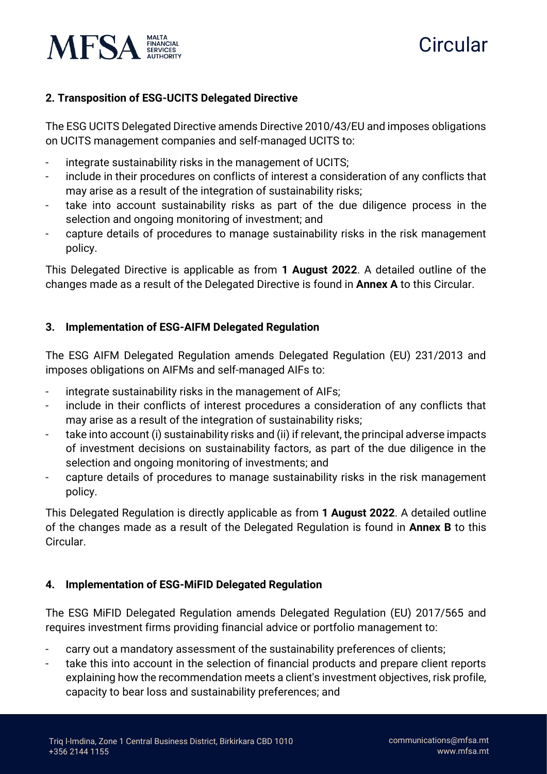

# **Circular**

## **2. Transposition of ESG-UCITS Delegated Directive**

The ESG UCITS Delegated Directive amends Directive 2010/43/EU and imposes obligations on UCITS management companies and self-managed UCITS to:

- integrate sustainability risks in the management of UCITS;
- include in their procedures on conflicts of interest a consideration of any conflicts that may arise as a result of the integration of sustainability risks;
- take into account sustainability risks as part of the due diligence process in the selection and ongoing monitoring of investment; and
- capture details of procedures to manage sustainability risks in the risk management policy.

This Delegated Directive is applicable as from **1 August 2022**. A detailed outline of the changes made as a result of the Delegated Directive is found in **Annex A** to this Circular.

## **3. Implementation of ESG-AIFM Delegated Regulation**

The ESG AIFM Delegated Regulation amends Delegated Regulation (EU) 231/2013 and imposes obligations on AIFMs and self-managed AIFs to:

- integrate sustainability risks in the management of AIFs;
- include in their conflicts of interest procedures a consideration of any conflicts that may arise as a result of the integration of sustainability risks;
- take into account (i) sustainability risks and (ii) if relevant, the principal adverse impacts of investment decisions on sustainability factors, as part of the due diligence in the selection and ongoing monitoring of investments; and
- capture details of procedures to manage sustainability risks in the risk management policy.

This Delegated Regulation is directly applicable as from **1 August 2022**. A detailed outline of the changes made as a result of the Delegated Regulation is found in **Annex B** to this Circular.

## **4. Implementation of ESG-MiFID Delegated Regulation**

The ESG MiFID Delegated Regulation amends Delegated Regulation (EU) 2017/565 and requires investment firms providing financial advice or portfolio management to:

- carry out a mandatory assessment of the sustainability preferences of clients;
- take this into account in the selection of financial products and prepare client reports explaining how the recommendation meets a client's investment objectives, risk profile, capacity to bear loss and sustainability preferences; and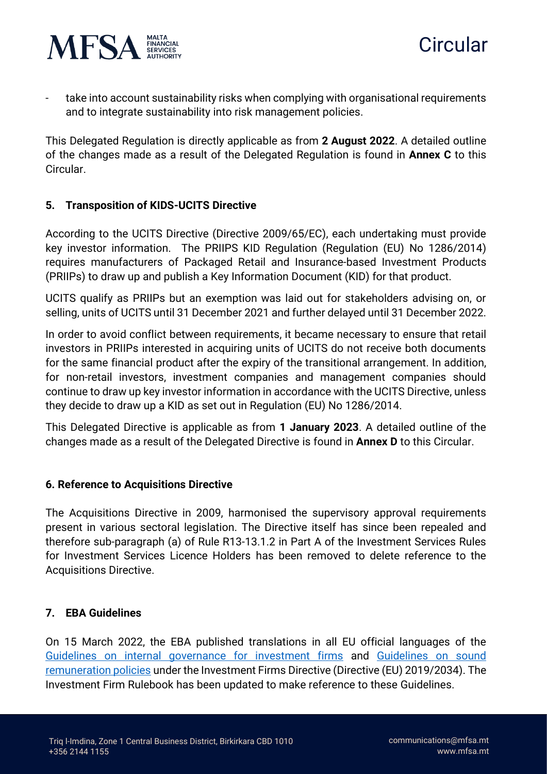

- take into account sustainability risks when complying with organisational requirements and to integrate sustainability into risk management policies.

This Delegated Regulation is directly applicable as from **2 August 2022**. A detailed outline of the changes made as a result of the Delegated Regulation is found in **Annex C** to this Circular.

### **5. Transposition of KIDS-UCITS Directive**

According to the UCITS Directive (Directive 2009/65/EC), each undertaking must provide key investor information. The PRIIPS KID Regulation (Regulation (EU) No 1286/2014) requires manufacturers of Packaged Retail and Insurance-based Investment Products (PRIIPs) to draw up and publish a Key Information Document (KID) for that product.

UCITS qualify as PRIIPs but an exemption was laid out for stakeholders advising on, or selling, units of UCITS until 31 December 2021 and further delayed until 31 December 2022.

In order to avoid conflict between requirements, it became necessary to ensure that retail investors in PRIIPs interested in acquiring units of UCITS do not receive both documents for the same financial product after the expiry of the transitional arrangement. In addition, for non-retail investors, investment companies and management companies should continue to draw up key investor information in accordance with the UCITS Directive, unless they decide to draw up a KID as set out in Regulation (EU) No 1286/2014.

This Delegated Directive is applicable as from **1 January 2023**. A detailed outline of the changes made as a result of the Delegated Directive is found in **Annex D** to this Circular.

#### **6. Reference to Acquisitions Directive**

The Acquisitions Directive in 2009, harmonised the supervisory approval requirements present in various sectoral legislation. The Directive itself has since been repealed and therefore sub-paragraph (a) of Rule R13-13.1.2 in Part A of the Investment Services Rules for Investment Services Licence Holders has been removed to delete reference to the Acquisitions Directive.

#### **7. EBA Guidelines**

On 15 March 2022, the EBA published translations in all EU official languages of the [Guidelines on internal governance for investment firms](https://www.eba.europa.eu/regulation-and-policy/internal-governance/guidelines-internal-governance-investment-firms) and [Guidelines on sound](https://www.eba.europa.eu/regulation-and-policy/investment-firms/guidelines-remuneration-policies-investment-firms)  [remuneration policies](https://www.eba.europa.eu/regulation-and-policy/investment-firms/guidelines-remuneration-policies-investment-firms) under the Investment Firms Directive (Directive (EU) 2019/2034). The Investment Firm Rulebook has been updated to make reference to these Guidelines.